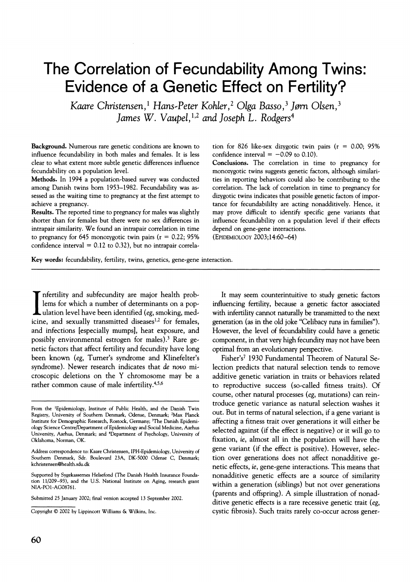# **The Correlation of Fecundability Among Twins: Evidence of a Genetic Effect on Fertility?**

Kaare Christensen,<sup>1</sup> Hans-Peter Kohler,<sup>2</sup> Olga Basso,<sup>3</sup> Jørn Olsen,<sup>3</sup> **James W. Vaupel,1'2 and Joseph L. Rodgers4** 

**Background. Numerous rare genetic conditions are known to influence fecundability in both males and females. It is less clear to what extent more subtle genetic differences influence fecundability on a population level.** 

**Methods. In 1994 a population-based survey was conducted among Danish twins born 1953-1982. Fecundability was assessed as the waiting time to pregnancy at the first attempt to achieve a pregnancy.** 

**Results. The reported time to pregnancy for males was slightly shorter than for females but there were no sex differences in intrapair similarity. We found an intrapair correlation in time to pregnancy for 645 monozygotic twin pairs (r = 0.22; 95% confidence interval = 0.12 to 0.32), but no intrapair correla-** **tion for 826 like-sex dizygotic twin pairs (r = 0.00; 95%**  confidence interval  $= -0.09$  to 0.10).

**Conclusions. The correlation in time to pregnancy for monozygotic twins suggests genetic factors, although similarities in reporting behaviors could also be contributing to the correlation. The lack of correlation in time to pregnancy for dizygotic twins indicates that possible genetic factors of importance for fecundabililty are acting nonadditively. Hence, it may prove difficult to identify specific gene variants that influence fecundability on a population level if their effects depend on gene-gene interactions. (EPIDEMIOLOGY 2003;14:60-64)** 

Key words: fecundability, fertility, twins, genetics, gene-gene interaction.

**Infertility and subfecundity are major health problems for which a number of determinants on a pop-L** ulation level have been identified (eg, smoking, medicine, and sexually transmitted diseases<sup>1,2</sup> for females, **and infections [especially mumps], heat exposure, and possibly environmental estrogen for males).3 Rare genetic factors that affect fertility and fecundity have long been known (eg, Turner's syndrome and Klinefelter's syndrome). Newer research indicates that de novo microscopic deletions on the Y chromosome may be a**  rather common cause of male infertility.<sup>4,5,6</sup>

**It may seem counterintuitive to study genetic factors influencing fertility, because a genetic factor associated with infertility cannot naturally be transmitted to the next generation (as in the old joke "Celibacy runs in families"). However, the level of fecundability could have a genetic component, in that very high fecundity may not have been optimal from an evolutionary perspective.** 

**Fisher's7 1930 Fundamental Theorem of Natural Selection predicts that natural selection tends to remove additive genetic variation in traits or behaviors related to reproductive success (so-called fitness traits). Of course, other natural processes (eg, mutations) can reintroduce genetic variance as natural selection washes it out. But in terms of natural selection, if a gene variant is affecting a fitness trait over generations it will either be selected against (if the effect is negative) or it will go to fixation, ie, almost all in the population will have the gene variant (if the effect is positive). However, selection over generations does not affect nonadditive genetic effects, ie, gene-gene interactions. This means that nonadditive genetic effects are a source of similarity within a generation (siblings) but not over generations (parents and offspring). A simple illustration of nonadditive genetic effects is a rare recessive genetic trait (eg, cystic fibrosis). Such traits rarely co-occur across gener-**

**From the 'Epidemiology, Institute of Public Health, and the Danish Twin Registry, University of Southern Denmark, Odense, Denmark; 2Max Planck Institute for Demographic Research, Rostock, Germany; 3The Danish Epidemiology Science Centre/Department of Epidemiology and Social Medicine, Aarhus University, Aarhus, Denmark; and 4Department of Psychology, University of Oklahoma, Norman, OK.** 

**Address correspondence to: Kaare Christensen, IPH-Epidemiology, University of Southern Denmark, Sdr. Boulevard 23A, DK-5000 Odense C, Denmark; kchristensen@health.sdu.dk** 

**Supported by Sygekassemes Helsefond (The Danish Health Insurance Foundation 11/209-93), and the U.S. National Institute on Aging, research grant NIA-PO1-AG08761.** 

**Submitted 25 January 2002; final version accepted 13 September 2002.** 

**Copyright ? 2002 by Lippincott Williams & Wilkins, Inc.**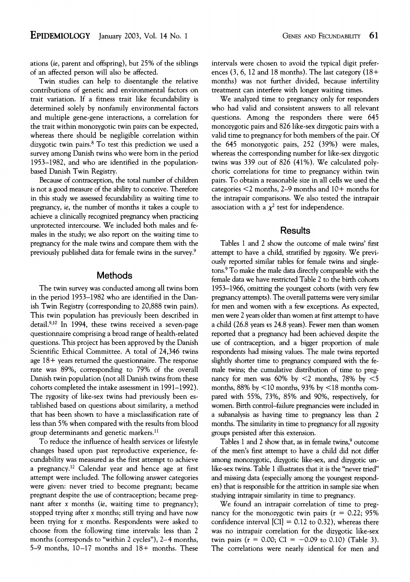**ations (ie, parent and offspring), but 25% of the siblings** 

**of an affected person will also be affected. Twin studies can help to disentangle the relative contributions of genetic and environmental factors on trait variation. If a fitness trait like fecundability is determined solely by nonfamily environmental factors and multiple gene-gene interactions, a correlation for the trait within monozygotic twin pairs can be expected, whereas there should be negligible correlation within dizygotic twin pairs.8 To test this prediction we used a survey among Danish twins who were born in the period 1953-1982, and who are identified in the populationbased Danish Twin Registry.** 

**Because of contraception, the total number of children is not a good measure of the ability to conceive. Therefore in this study we assessed fecundability as waiting time to pregnancy, ie, the number of months it takes a couple to achieve a clinically recognized pregnancy when practicing unprotected intercourse. We included both males and females in the study; we also report on the waiting time to pregnancy for the male twins and compare them with the previously published data for female twins in the survey.9** 

#### **Methods**

**The twin survey was conducted among all twins born in the period 1953-1982 who are identified in the Danish Twin Registry (corresponding to 20,888 twin pairs). This twin population has previously been described in detail.9,10 In 1994, these twins received a seven-page questionnaire comprising a broad range of health-related questions. This project has been approved by the Danish Scientific Ethical Committee. A total of 24,346 twins age 18 + years returned the questionnaire. The response rate was 89%, corresponding to 79% of the overall Danish twin population (not all Danish twins from these cohorts completed the intake assessment in 1991-1992). The zygosity of like-sex twins had previously been established based on questions about similarity, a method that has been shown to have a misclassification rate of less than 5% when compared with the results from blood group determinants and genetic markers.1l** 

**To reduce the influence of health services or lifestyle changes based upon past reproductive experience, fecundability was measured as the first attempt to achieve a pregnancy.12 Calendar year and hence age at first attempt were included. The following answer categories were given: never tried to become pregnant; became pregnant despite the use of contraception; became pregnant after x months (ie, waiting time to pregnancy); stopped trying after x months; still trying and have now been trying for x months. Respondents were asked to choose from the following time intervals: less than 2 months (corresponds to "within 2 cycles"), 2-4 months, 5-9 months, 10-17 months and 18+ months. These**  **intervals were chosen to avoid the typical digit preferences (3, 6, 12 and 18 months). The last category (18+ months) was not further divided, because infertility treatment can interfere with longer waiting times.** 

**We analyzed time to pregnancy only for responders who had valid and consistent answers to all relevant questions. Among the responders there were 645 monozygotic pairs and 826 like-sex dizygotic pairs with a valid time to pregnancy for both members of the pair. Of the 645 monozygotic pairs, 252 (39%) were males, whereas the corresponding number for like-sex dizygotic twins was 339 out of 826 (41%). We calculated polychoric correlations for time to pregnancy within twin pairs. To obtain a reasonable size in all cells we used the categories <2 months, 2-9 months and 10+ months for the intrapair comparisons. We also tested the intrapair**  association with a  $\chi^2$  test for independence.

### **Results**

**Tables 1 and 2 show the outcome of male twins' first attempt to have a child, stratified by zygosity. We previously reported similar tables for female twins and singletons.9 To make the male data directly comparable with the female data we have restricted Table 2 to the birth cohorts 1953-1966, omitting the youngest cohorts (with very few pregnancy attempts). The overall patterns were very similar for men and women with a few exceptions. As expected, men were 2 years older than women at first attempt to have a child (26.8 years vs 24.8 years). Fewer men than women reported that a pregnancy had been achieved despite the use of contraception, and a bigger proportion of male respondents had missing values. The male twins reported slightly shorter time to pregnancy compared with the female twins; the cumulative distribution of time to pregnancy for men was 60% by <2 months, 78% by <5 months, 88% by <10 months, 93% by <18 months compared with 55%, 73%, 85% and 90%, respectively, for women. Birth control-failure pregnancies were included in a subanalysis as having time to pregnancy less than 2 months. The similarity in time to pregnancy for all zygosity groups persisted after this extension.** 

**Tables 1 and 2 show that, as in female twins,9 outcome of the men's first attempt to have a child did not differ among monozygotic, dizygotic like-sex, and dizygotic unlike-sex twins. Table 1 illustrates that it is the "never tried" and missing data (especially among the youngest responders) that is responsible for the attrition in sample size when studying intrapair similarity in time to pregnancy.** 

**We found an intrapair correlation of time to pregnancy for the monozygotic twin pairs (r = 0.22; 95% confidence interval [CI] = 0.12 to 0.32), whereas there was no intrapair correlation for the dizygotic like-sex**  twin pairs ( $r = 0.00$ ; CI =  $-0.09$  to 0.10) (Table 3). **The correlations were nearly identical for men and**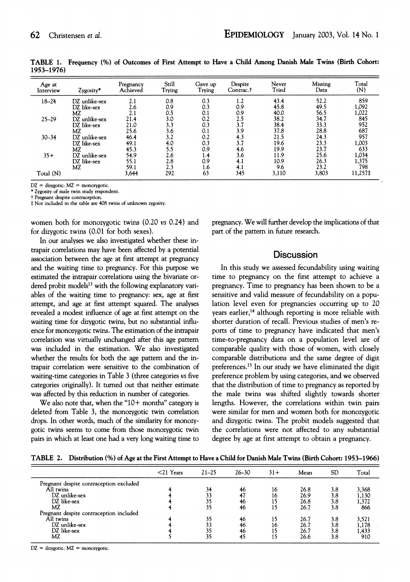| Age at<br>Interview | Zygosity*     | Pregnancy<br>Achieved | Still<br>Trying | Gave up<br>Trying | Despite<br>Contrac.† | Never<br>Tried | Missing<br>Data | Total<br>(N) |
|---------------------|---------------|-----------------------|-----------------|-------------------|----------------------|----------------|-----------------|--------------|
| $18 - 24$           | DZ unlike-sex | 2.1                   | 0.8             | 0.3               | 1.2                  | 43.4           | 52.2            | 859          |
|                     | DZ like-sex   | 2.6                   | 0.9             | 0.3               | 0.9                  | 45.8           | 49.5            | 1,092        |
|                     | МZ            | 2.1                   | 0.5             | 0.1               | 0.9                  | 40.0           | 56.5            | 1,022        |
| $25 - 29$           | DZ unlike-sex | 21.4                  | 3.0             | 0.2               | 2.5                  | 38.2           | 34.7            | 845          |
|                     | DZ like-sex   | 21.0                  | 3.3             | 0.3               | 3.7                  | 38.4           | 33.3            | 952          |
|                     | МZ            | 25.6                  | 3.6             | 0.1               | 3.9                  | 37.8           | 28.8            | 687          |
| $30 - 34$           | DZ unlike-sex | 46.4                  | 3.2             | 0.2               | 4.3                  | 21.5           | 24.3            | 957          |
|                     | DZ like-sex   | 49.1                  | 4.0             | 0.3               | 3.7                  | 19.6           | 23.3            | 1,003        |
|                     | MZ            | 45.3                  | 5.5             | 0.9               | 4.6                  | 19.9           | 23.7            | 633          |
| $35+$               | DZ unlike-sex | 54.9                  | 2.6             | 1.4               | 3.6                  | 11.9           | 25.6            | 1,034        |
|                     | DZ like-sex   | 55.1                  | 2.8             | 0.9               | 4.1                  | 10.9           | 26.3            | 1,375        |
|                     | МZ            | 59.1                  | 2.3             | 1.6               | 4.1                  | 9.6            | 23.2            | 798          |
| Total (N)           |               | 3,644                 | 292             | 63                | 345                  | 3,110          | 3,803           | 11,257‡      |

**TABLE 1. Frequency (%) of Outcomes of First Attempt to Have a Child Among Danish Male Twins (Birth Cohort: 1953-1976)** 

**DZ = dizygotic; MZ = monozygotic. \* Zygosity of male twin study respondent.** 

**t Pregnant despite contraception.** 

**t Not included in the table are 408 twins of unknown zygosity.** 

**women both for monozygotic twins (0.20 vs 0.24) and for dizygotic twins (0.01 for both sexes).** 

**In our analyses we also investigated whether these intrapair correlations may have been affected by a potential association between the age at first attempt at pregnancy and the waiting time to pregnancy. For this purpose we estimated the intrapair correlations using the bivariate or**dered probit models<sup>13</sup> with the following explanatory vari**ables of the waiting time to pregnancy: sex, age at first attempt, and age at first attempt squared. The analyses revealed a modest influence of age at first attempt on the waiting time for dizygotic twins, but no substantial influence for monozygotic twins. The estimation of the intrapair correlation was virtually unchanged after this age pattern was included in the estimation. We also investigated whether the results for both the age pattern and the intrapair correlation were sensitive to the combination of waiting-time categories in Table 3 (three categories vs five categories originally). It turned out that neither estimate was affected by this reduction in number of categories.** 

**We also note that, when the "10+ months" category is deleted from Table 3, the monozygotic twin correlation drops. In other words, much of the similarity for monozygotic twins seems to come from those monozygotic twin pairs in which at least one had a very long waiting time to**  **pregnancy. We will further develop the implications of that part of the pattem in future research.** 

### **Discussion**

**In this study we assessed fecundability using waiting time to pregnancy on the first attempt to achieve a pregnancy. Time to pregnancy has been shown to be a sensitive and valid measure of fecundability on a population level even for pregnancies occurring up to 20 years earlier,14 although reporting is more reliable with shorter duration of recall. Previous studies of men's reports of time to pregnancy have indicated that men's time-to-pregnancy data on a population level are of comparable quality with those of women, with closely comparable distributions and the same degree of digit preferences.15 In our study we have eliminated the digit preference problem by using categories, and we observed that the distribution of time to pregnancy as reported by the male twins was shifted slightly towards shorter lengths. However, the correlations within twin pairs were similar for men and women both for monozygotic and dizygotic twins. The probit models suggested that the correlations were not affected to any substantial degree by age at first attempt to obtain a pregnancy.** 

**TABLE 2. Distribution (%) of Age at the First Attempt to Have a Child for Danish Male Twins (Birth Cohort: 1953-1966)** 

|                                         | $<$ 21 Years | $21 - 25$ | $26 - 30$ | $31 +$ | Mean | <b>SD</b> | Total          |
|-----------------------------------------|--------------|-----------|-----------|--------|------|-----------|----------------|
| Pregnant despite contraception excluded |              |           |           |        |      |           |                |
| All twins                               |              | 34        | 46        | 16     | 26.8 | 3.8       | 3,368          |
| DZ unlike-sex                           |              | 33        |           | 16     | 26.9 | 3.8       | 1,130          |
| DZ like-sex                             |              | 35        | 46        | 15     | 26.8 | 3.8       |                |
| MZ                                      |              | 35        | 46        | 15     | 26.7 | 3.8       | 1,372<br>866   |
| Pregnant despite contraception included |              |           |           |        |      |           |                |
| All twins                               |              | 35        | 46        | 15     | 26.7 | 3.8       | 3,521          |
| DZ unlike-sex                           |              | 33        | 46        | 16     | 26.7 | 3.8       |                |
| DZ like-sex                             |              | 35        | 46        | 15     | 26.7 | 3.8       | 1,178<br>1,433 |
| MZ                                      |              | 35        | 45        | 15     | 26.6 | 3.8       | 910            |
|                                         |              |           |           |        |      |           |                |

**DZ = dizygotic; MZ = monozygotic.**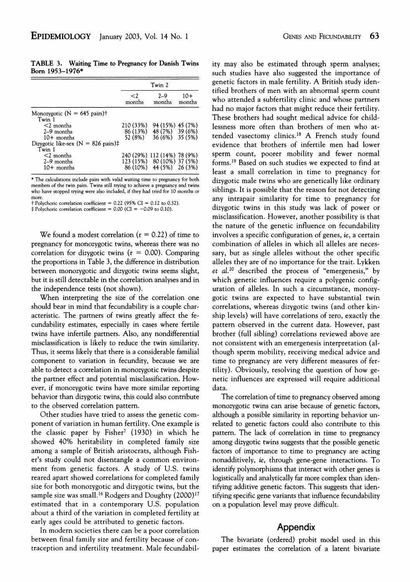**TABLE 3. Waiting Time to Pregnancy for Danish Twins Born 1953-1976\*** 

|                                                  | Twin 2             |                                                           |                 |  |  |
|--------------------------------------------------|--------------------|-----------------------------------------------------------|-----------------|--|--|
|                                                  | $\leq$ 2<br>months | $2 - 9$<br>months                                         | $10+$<br>months |  |  |
| Monozygotic ( $N = 645$ pairs)†<br>Twin 1        |                    |                                                           |                 |  |  |
| $<$ 2 months                                     | 210 (33%)          | 94 (15%) 45 (7%)                                          |                 |  |  |
| $2-9$ months<br>$10+$ months                     | 52 (8%)            | 86 (13%) 48 (7%) 39 (6%)<br>36 (6%) 35 (5%)               |                 |  |  |
| Dizygotic like-sex ( $N = 826$ pairs)‡<br>Twin 1 |                    |                                                           |                 |  |  |
| $<$ 2 months<br>$2-9$ months                     |                    | 240 (29%) 112 (14%) 78 (9%)<br>123 (15%) 80 (10%) 37 (5%) |                 |  |  |
| $10+$ months                                     |                    | 86 (10%) 44 (5%) 26 (3%)                                  |                 |  |  |

**\* The calculations include pairs with valid waiting time to pregnancy for both members of the twin pairs. Twins still trying to achieve a pregnancy and twins who have stopped trying were also included, if they had tried for 10 months or** 

**more. t Polychoric correlation coefficient = 0.22 (95% CI = 0.12 to 0.32).** 

 $\ddagger$  Polychoric correlation coefficient = 0.00 (CI =  $-0.09$  to 0.10).

**We found a modest correlation (r = 0.22) of time to pregnancy for monozygotic twins, whereas there was no correlation for dizygotic twins (r = 0.00). Comparing the proportions in Table 3, the difference in distribution between monozygotic and dizygotic twins seems slight, but it is still detectable in the correlation analyses and in the independence tests (not shown).** 

**When interpreting the size of the correlation one should bear in mind that fecundability is a couple characteristic. The partners of twins greatly affect the fecundability estimates, especially in cases where fertile twins have infertile partners. Also, any nondifferential misclassification is likely to reduce the twin similarity. Thus, it seems likely that there is a considerable familial component to variation in fecundity, because we are able to detect a correlation in monozygotic twins despite the partner effect and potential misclassification. However, if monozygotic twins have more similar reporting behavior than dizygotic twins, this could also contribute to the observed correlation pattern.** 

**Other studies have tried to assess the genetic component of variation in human fertility. One example is the classic paper by Fisher7 (1930) in which he showed 40% heritability in completed family size among a sample of British aristocrats, although Fisher's study could not disentangle a common environment from genetic factors. A study of U.S. twins reared apart showed correlations for completed family size for both monozygotic and dizygotic twins, but the sample size was small.16 Rodgers and Doughty (2000)17 estimated that in a contemporary U.S. population about a third of the variation in completed fertility at early ages could be attributed to genetic factors.** 

**In modern societies there can be a poor correlation between final family size and fertility because of contraception and infertility treatment. Male fecundabil-** **ity may also be estimated through sperm analyses; such studies have also suggested the importance of genetic factors in male fertility. A British study identified brothers of men with an abnormal sperm count who attended a subfertility clinic and whose partners had no major factors that might reduce their fertility. These brothers had sought medical advice for childlessness more often than brothers of men who attended vasectomy clinics.18 A French study found evidence that brothers of infertile men had lower sperm count, poorer mobility and fewer normal forms.19 Based on such studies we expected to find at least a small correlation in time to pregnancy for dizygotic male twins who are genetically like ordinary siblings. It is possible that the reason for not detecting any intrapair similarity for time to pregnancy for dizygotic twins in this study was lack of power or misclassification. However, another possibility is that the nature of the genetic influence on fecundability involves a specific configuration of genes, ie, a certain combination of alleles in which all alleles are necessary, but as single alleles without the other specific alleles they are of no importance for the trait. Lykken et al.20 described the process of "emergenesis," by which genetic influences require a polygenic configuration of alleles. In such a circumstance, monozygotic twins are expected to have substantial twin correlations, whereas dizygotic twins (and other kinship levels) will have correlations of zero, exactly the pattern observed in the current data. However, past brother (full sibling) correlations reviewed above are not consistent with an emergenesis interpretation (although sperm mobility, receiving medical advice and time to pregnancy are very different measures of fertility). Obviously, resolving the question of how genetic influences are expressed will require additional data.** 

**The correlation of time to pregnancy observed among monozygotic twins can arise because of genetic factors, although a possible similarity in reporting behavior unrelated to genetic factors could also contribute to this pattern. The lack of correlation in time to pregnancy among dizygotic twins suggests that the possible genetic factors of importance to time to pregnancy are acting nonadditively, ie, through gene-gene interactions. To identify polymorphisms that interact with other genes is logistically and analytically far more complex than identifying additive genetic factors. This suggests that identifying specific gene variants that influence fecundability on a population level may prove difficult.** 

### **Appendix**

**The bivariate (ordered) probit model used in this paper estimates the correlation of a latent bivariate**